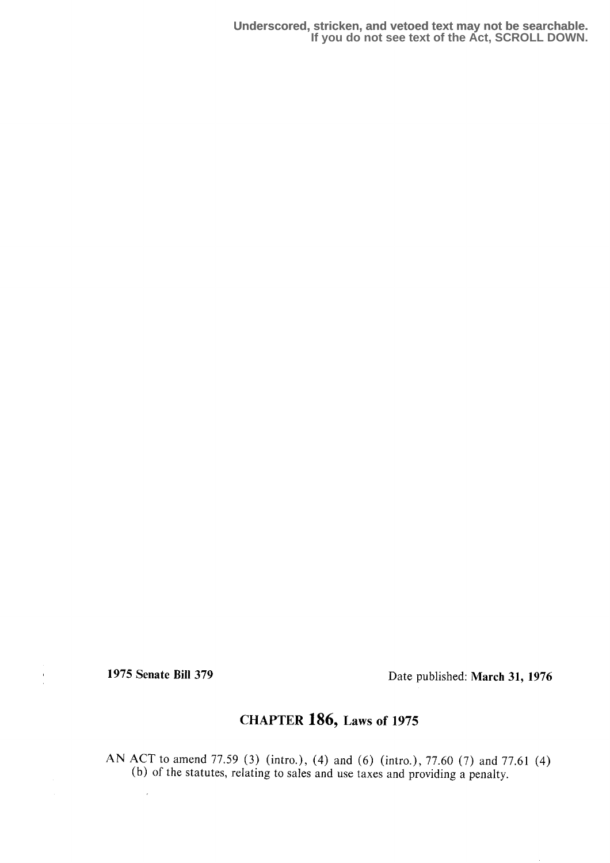**Underscored, stricken, and vetoed text may not be searchable. If you do not see text of the Act, SCROLL DOWN.**

 $\frac{1}{2}$ 

1975 Senate Bill 379 Date published: March 31, 1976

## CHAPTER 186, Laws of 1975

AN ACT to amend 77.59 (3) (intro.), (4) and (6) (intro.), 77.60 (7) and 77.61 (4) (b) of the statutes, relating to sales and use taxes and providing a penalty.